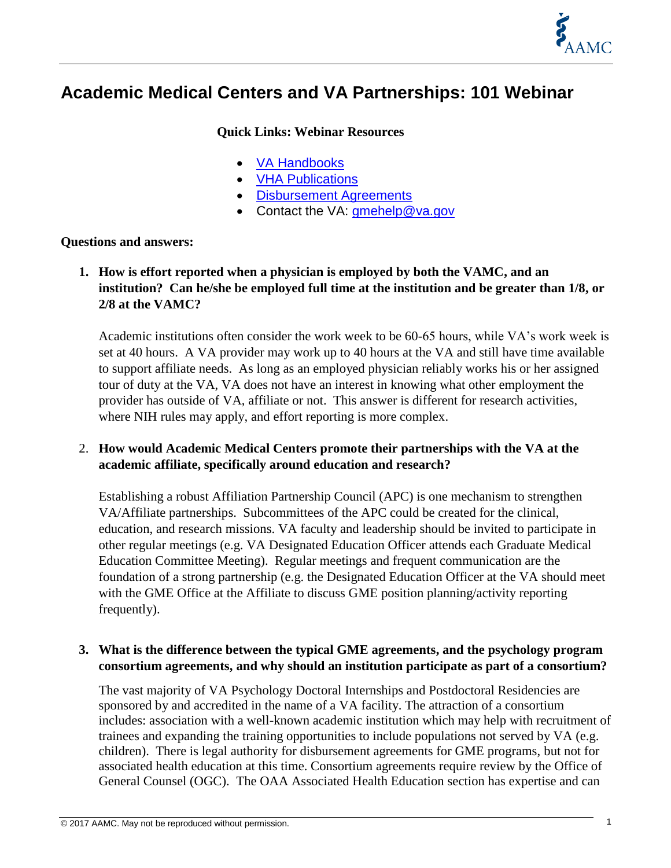

## **Academic Medical Centers and VA Partnerships: 101 Webinar**

#### **Quick Links: Webinar Resources**

- [VA Handbooks](https://www.va.gov/oaa/handbooks.asp)
- **[VHA Publications](https://www.va.gov/vhapublications/publications.cfm?pub=1)**
- **•** [Disbursement Agreements](https://www.va.gov/oaa/agreements.asp)
- Contact the VA: [gmehelp@va.gov](mailto:gmehelp@va.gov)

#### **Questions and answers:**

**1. How is effort reported when a physician is employed by both the VAMC, and an institution? Can he/she be employed full time at the institution and be greater than 1/8, or 2/8 at the VAMC?** 

Academic institutions often consider the work week to be 60-65 hours, while VA's work week is set at 40 hours. A VA provider may work up to 40 hours at the VA and still have time available to support affiliate needs. As long as an employed physician reliably works his or her assigned tour of duty at the VA, VA does not have an interest in knowing what other employment the provider has outside of VA, affiliate or not. This answer is different for research activities, where NIH rules may apply, and effort reporting is more complex.

#### 2. **How would Academic Medical Centers promote their partnerships with the VA at the academic affiliate, specifically around education and research?**

Establishing a robust Affiliation Partnership Council (APC) is one mechanism to strengthen VA/Affiliate partnerships. Subcommittees of the APC could be created for the clinical, education, and research missions. VA faculty and leadership should be invited to participate in other regular meetings (e.g. VA Designated Education Officer attends each Graduate Medical Education Committee Meeting). Regular meetings and frequent communication are the foundation of a strong partnership (e.g. the Designated Education Officer at the VA should meet with the GME Office at the Affiliate to discuss GME position planning/activity reporting frequently).

#### **3. What is the difference between the typical GME agreements, and the psychology program consortium agreements, and why should an institution participate as part of a consortium?**

The vast majority of VA Psychology Doctoral Internships and Postdoctoral Residencies are sponsored by and accredited in the name of a VA facility. The attraction of a consortium includes: association with a well-known academic institution which may help with recruitment of trainees and expanding the training opportunities to include populations not served by VA (e.g. children). There is legal authority for disbursement agreements for GME programs, but not for associated health education at this time. Consortium agreements require review by the Office of General Counsel (OGC). The OAA Associated Health Education section has expertise and can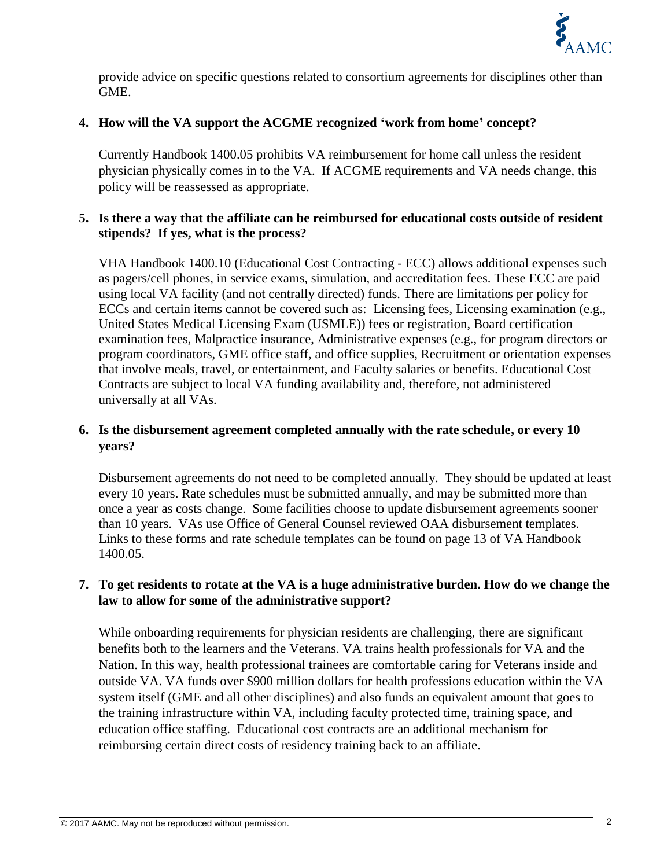

provide advice on specific questions related to consortium agreements for disciplines other than GME.

#### **4. How will the VA support the ACGME recognized 'work from home' concept?**

Currently Handbook 1400.05 prohibits VA reimbursement for home call unless the resident physician physically comes in to the VA. If ACGME requirements and VA needs change, this policy will be reassessed as appropriate.

#### **5. Is there a way that the affiliate can be reimbursed for educational costs outside of resident stipends? If yes, what is the process?**

VHA Handbook 1400.10 (Educational Cost Contracting - ECC) allows additional expenses such as pagers/cell phones, in service exams, simulation, and accreditation fees. These ECC are paid using local VA facility (and not centrally directed) funds. There are limitations per policy for ECCs and certain items cannot be covered such as: Licensing fees, Licensing examination (e.g., United States Medical Licensing Exam (USMLE)) fees or registration, Board certification examination fees, Malpractice insurance, Administrative expenses (e.g., for program directors or program coordinators, GME office staff, and office supplies, Recruitment or orientation expenses that involve meals, travel, or entertainment, and Faculty salaries or benefits. Educational Cost Contracts are subject to local VA funding availability and, therefore, not administered universally at all VAs.

#### **6. Is the disbursement agreement completed annually with the rate schedule, or every 10 years?**

Disbursement agreements do not need to be completed annually. They should be updated at least every 10 years. Rate schedules must be submitted annually, and may be submitted more than once a year as costs change. Some facilities choose to update disbursement agreements sooner than 10 years. VAs use Office of General Counsel reviewed OAA disbursement templates. Links to these forms and rate schedule templates can be found on page 13 of VA Handbook 1400.05.

#### **7. To get residents to rotate at the VA is a huge administrative burden. How do we change the law to allow for some of the administrative support?**

While onboarding requirements for physician residents are challenging, there are significant benefits both to the learners and the Veterans. VA trains health professionals for VA and the Nation. In this way, health professional trainees are comfortable caring for Veterans inside and outside VA. VA funds over \$900 million dollars for health professions education within the VA system itself (GME and all other disciplines) and also funds an equivalent amount that goes to the training infrastructure within VA, including faculty protected time, training space, and education office staffing. Educational cost contracts are an additional mechanism for reimbursing certain direct costs of residency training back to an affiliate.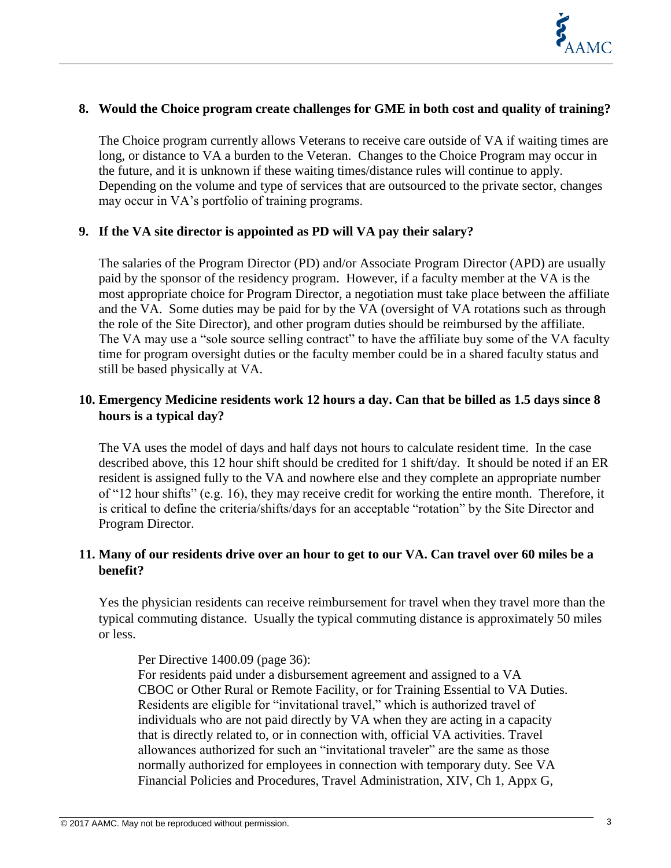

#### **8. Would the Choice program create challenges for GME in both cost and quality of training?**

The Choice program currently allows Veterans to receive care outside of VA if waiting times are long, or distance to VA a burden to the Veteran. Changes to the Choice Program may occur in the future, and it is unknown if these waiting times/distance rules will continue to apply. Depending on the volume and type of services that are outsourced to the private sector, changes may occur in VA's portfolio of training programs.

#### **9. If the VA site director is appointed as PD will VA pay their salary?**

The salaries of the Program Director (PD) and/or Associate Program Director (APD) are usually paid by the sponsor of the residency program. However, if a faculty member at the VA is the most appropriate choice for Program Director, a negotiation must take place between the affiliate and the VA. Some duties may be paid for by the VA (oversight of VA rotations such as through the role of the Site Director), and other program duties should be reimbursed by the affiliate. The VA may use a "sole source selling contract" to have the affiliate buy some of the VA faculty time for program oversight duties or the faculty member could be in a shared faculty status and still be based physically at VA.

#### **10. Emergency Medicine residents work 12 hours a day. Can that be billed as 1.5 days since 8 hours is a typical day?**

The VA uses the model of days and half days not hours to calculate resident time. In the case described above, this 12 hour shift should be credited for 1 shift/day. It should be noted if an ER resident is assigned fully to the VA and nowhere else and they complete an appropriate number of "12 hour shifts" (e.g. 16), they may receive credit for working the entire month. Therefore, it is critical to define the criteria/shifts/days for an acceptable "rotation" by the Site Director and Program Director.

#### **11. Many of our residents drive over an hour to get to our VA. Can travel over 60 miles be a benefit?**

Yes the physician residents can receive reimbursement for travel when they travel more than the typical commuting distance. Usually the typical commuting distance is approximately 50 miles or less.

#### Per Directive 1400.09 (page 36):

For residents paid under a disbursement agreement and assigned to a VA CBOC or Other Rural or Remote Facility, or for Training Essential to VA Duties. Residents are eligible for "invitational travel," which is authorized travel of individuals who are not paid directly by VA when they are acting in a capacity that is directly related to, or in connection with, official VA activities. Travel allowances authorized for such an "invitational traveler" are the same as those normally authorized for employees in connection with temporary duty. See VA Financial Policies and Procedures, Travel Administration, XIV, Ch 1, Appx G,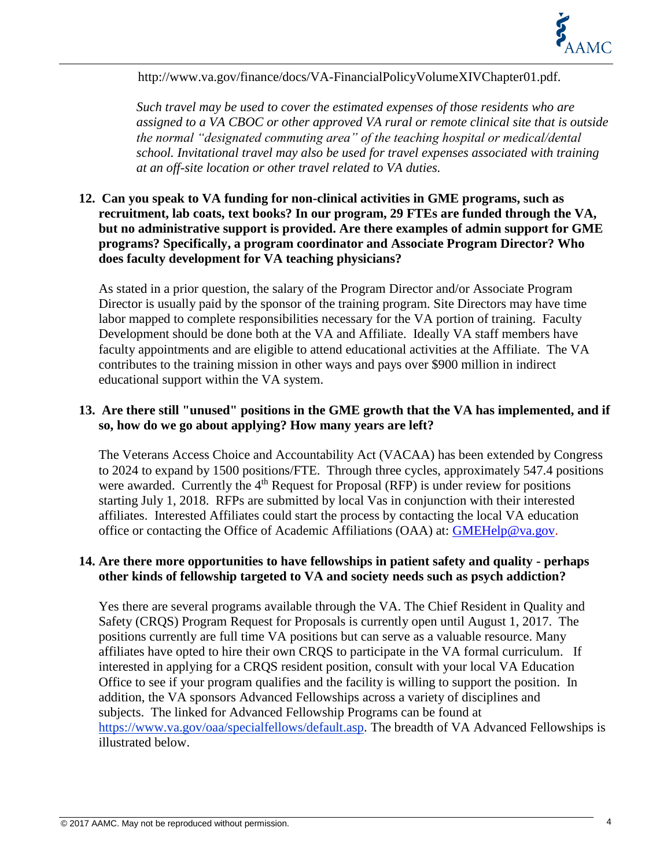

http://www.va.gov/finance/docs/VA-FinancialPolicyVolumeXIVChapter01.pdf.

*Such travel may be used to cover the estimated expenses of those residents who are assigned to a VA CBOC or other approved VA rural or remote clinical site that is outside the normal "designated commuting area" of the teaching hospital or medical/dental school. Invitational travel may also be used for travel expenses associated with training at an off-site location or other travel related to VA duties.* 

#### **12. Can you speak to VA funding for non-clinical activities in GME programs, such as recruitment, lab coats, text books? In our program, 29 FTEs are funded through the VA, but no administrative support is provided. Are there examples of admin support for GME programs? Specifically, a program coordinator and Associate Program Director? Who does faculty development for VA teaching physicians?**

As stated in a prior question, the salary of the Program Director and/or Associate Program Director is usually paid by the sponsor of the training program. Site Directors may have time labor mapped to complete responsibilities necessary for the VA portion of training. Faculty Development should be done both at the VA and Affiliate. Ideally VA staff members have faculty appointments and are eligible to attend educational activities at the Affiliate. The VA contributes to the training mission in other ways and pays over \$900 million in indirect educational support within the VA system.

#### **13. Are there still "unused" positions in the GME growth that the VA has implemented, and if so, how do we go about applying? How many years are left?**

The Veterans Access Choice and Accountability Act (VACAA) has been extended by Congress to 2024 to expand by 1500 positions/FTE. Through three cycles, approximately 547.4 positions were awarded. Currently the  $4<sup>th</sup>$  Request for Proposal (RFP) is under review for positions starting July 1, 2018. RFPs are submitted by local Vas in conjunction with their interested affiliates. Interested Affiliates could start the process by contacting the local VA education office or contacting the Office of Academic Affiliations (OAA) at: [GMEHelp@va.gov.](mailto:GMEHelp@va.gov)

#### **14. Are there more opportunities to have fellowships in patient safety and quality - perhaps other kinds of fellowship targeted to VA and society needs such as psych addiction?**

Yes there are several programs available through the VA. The Chief Resident in Quality and Safety (CRQS) Program Request for Proposals is currently open until August 1, 2017. The positions currently are full time VA positions but can serve as a valuable resource. Many affiliates have opted to hire their own CRQS to participate in the VA formal curriculum. If interested in applying for a CRQS resident position, consult with your local VA Education Office to see if your program qualifies and the facility is willing to support the position. In addition, the VA sponsors Advanced Fellowships across a variety of disciplines and subjects. The linked for Advanced Fellowship Programs can be found at [https://www.va.gov/oaa/specialfellows/default.asp.](https://www.va.gov/oaa/specialfellows/default.asp) The breadth of VA Advanced Fellowships is illustrated below.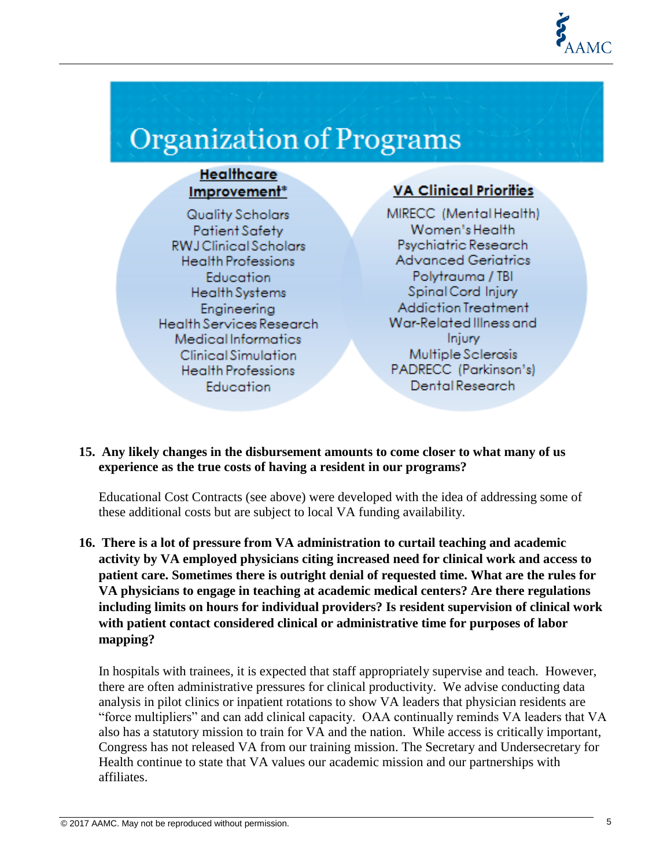

# Organization of Programs

#### **Healthcare** Improvement<sup>\*</sup>

Quality Scholars **Patient Safety RWJ** Clinical Scholars **Health Professions** Education **Health Systems** Engineering Health Services Research Medical Informatics **Clinical Simulation Health Professions Education** 

### **VA Clinical Priorities**

MIRECC (MentalHealth) Women's Health Psychiatric Research **Advanced Geriatrics** Polytrauma / TBI Spinal Cord Injury **Addiction Treatment** War-Related Illness and **Injury** Multiple Sclerosis PADRECC (Parkinson's) Dental Research

**15. Any likely changes in the disbursement amounts to come closer to what many of us experience as the true costs of having a resident in our programs?** 

Educational Cost Contracts (see above) were developed with the idea of addressing some of these additional costs but are subject to local VA funding availability.

**16. There is a lot of pressure from VA administration to curtail teaching and academic activity by VA employed physicians citing increased need for clinical work and access to patient care. Sometimes there is outright denial of requested time. What are the rules for VA physicians to engage in teaching at academic medical centers? Are there regulations including limits on hours for individual providers? Is resident supervision of clinical work with patient contact considered clinical or administrative time for purposes of labor mapping?** 

In hospitals with trainees, it is expected that staff appropriately supervise and teach. However, there are often administrative pressures for clinical productivity. We advise conducting data analysis in pilot clinics or inpatient rotations to show VA leaders that physician residents are "force multipliers" and can add clinical capacity. OAA continually reminds VA leaders that VA also has a statutory mission to train for VA and the nation. While access is critically important, Congress has not released VA from our training mission. The Secretary and Undersecretary for Health continue to state that VA values our academic mission and our partnerships with affiliates.